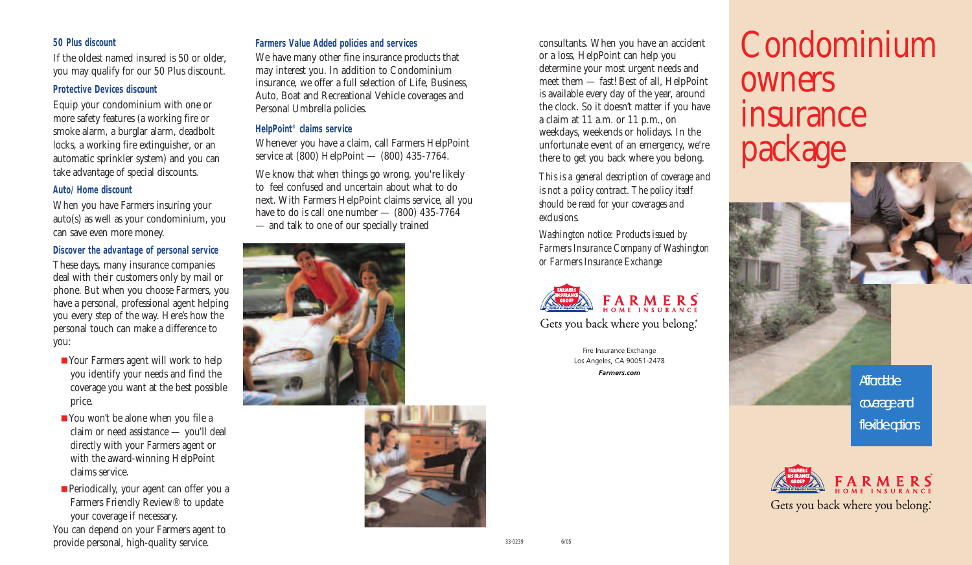#### **50 Plus discount**

If the oldest named insured is 50 or older, you may qualify for our 50 Plus discount.

#### **Protective Devices discount**

Equip your condominium with one or more safety features (a working fire or smoke alarm, a burglar alarm, deadbolt locks, a working fire extinguisher, or an automatic sprinkler system) and you can take advantage of special discounts.

#### **Auto/Home discount**

When you have Farmers insuring your auto(s) as well as your condominium, you can save even more money.

#### **Discover the advantage of personal service**

These days, many insurance companies deal with their customers only by mail or phone. But when you choose Farmers, you have a personal, professional agent helping you every step of the way. Here's how the personal touch can make a difference to you:

- Your Farmers agent will work to help you identify your needs and find the coverage you want at the best possible price.
- You won't be alone when you file a claim or need assistance — you'll deal directly with your Farmers agent or with the award-winning HelpPoint claims service.
- Periodically, your agent can offer you a Farmers Friendly Review® to update your coverage if necessary.

You can depend on your Farmers agent to provide personal, high-quality service.

#### **Farmers Value Added policies and services**

We have many other fine insurance products that may interest you. In addition to Condominium insurance, we offer a full selection of Life, Business, Auto, Boat and Recreational Vehicle coverages and Personal Umbrella policies.

### **HelpPoint® claims service**

Whenever you have a claim, call Farmers HelpPoint service at (800) HelpPoint — (800) 435-7764.

We know that when things go wrong, you're likely to feel confused and uncertain about what to do next. With Farmers HelpPoint claims service, all you have to do is call one number  $-$  (800) 435-7764 — and talk to one of our specially trained



consultants. When you have an accident or a loss, HelpPoint can help you determine your most urgent needs and meet them — fast! Best of all, HelpPoint is available every day of the year, around the clock. So it doesn't matter if you have a claim at 11 a.m. or 11 p.m., on weekdays, weekends or holidays. In the unfortunate event of an emergency, we're there to get you back where you belong.

*This is a general description of coverage and is not a policy contract. The policy itself should be read for your coverages and exclusions.*

*Washington notice: Products issued by Farmers Insurance Company of Washington or Farmers Insurance Exchange*



Gets you back where you belong.

Fire Insurance Exchange Los Angeles, CA 90051-2478 Farmers.com

# Condominium owners insurance package

Affordable coverage and flexible options